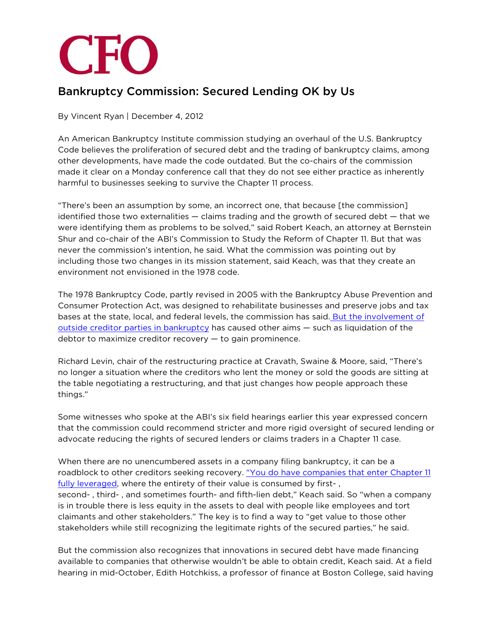

## Bankruptcy Commission: Secured Lending OK by Us

By Vincent Ryan | December 4, 2012

An American Bankruptcy Institute commission studying an overhaul of the U.S. Bankruptcy Code believes the proliferation of secured debt and the trading of bankruptcy claims, among other developments, have made the code outdated. But the co-chairs of the commission made it clear on a Monday conference call that they do not see either practice as inherently harmful to businesses seeking to survive the Chapter 11 process.

"There's been an assumption by some, an incorrect one, that because [the commission] identified those two externalities — claims trading and the growth of secured debt — that we were identifying them as problems to be solved," said Robert Keach, an attorney at Bernstein Shur and co-chair of the ABI's Commission to Study the Reform of Chapter 11. But that was never the commission's intention, he said. What the commission was pointing out by including those two changes in its mission statement, said Keach, was that they create an environment not envisioned in the 1978 code.

The 1978 Bankruptcy Code, partly revised in 2005 with the Bankruptcy Abuse Prevention and Consumer Protection Act, was designed to rehabilitate businesses and preserve jobs and tax bases at the state, local, and federal levels, the commission has said. [But the involvement of](http://www3.cfo.com/article/2012/11/bankruptcy_reform-abi-commission-hedge-funds-distressed-debt-secondary-market-claims-trading)  [outside creditor parties in bankruptcy](http://www3.cfo.com/article/2012/11/bankruptcy_reform-abi-commission-hedge-funds-distressed-debt-secondary-market-claims-trading) has caused other aims — such as liquidation of the debtor to maximize creditor recovery — to gain prominence.

Richard Levin, chair of the restructuring practice at Cravath, Swaine & Moore, said, "There's no longer a situation where the creditors who lent the money or sold the goods are sitting at the table negotiating a restructuring, and that just changes how people approach these things."

Some witnesses who spoke at the ABI's six field hearings earlier this year expressed concern that the commission could recommend stricter and more rigid oversight of secured lending or advocate reducing the rights of secured lenders or claims traders in a Chapter 11 case.

When there are no unencumbered assets in a company filing bankruptcy, it can be a roadblock to other creditors seeking recovery. "You do have companies that enter Chapter 11 [fully leveraged,](http://www3.cfo.com/article/2012/5/capital-markets_infor-ma-deleverage-private-equity-refinancing-lawson-golden-gate-capital) where the entirety of their value is consumed by first- , second- , third- , and sometimes fourth- and fifth-lien debt," Keach said. So "when a company is in trouble there is less equity in the assets to deal with people like employees and tort claimants and other stakeholders." The key is to find a way to "get value to those other stakeholders while still recognizing the legitimate rights of the secured parties," he said.

But the commission also recognizes that innovations in secured debt have made financing available to companies that otherwise wouldn't be able to obtain credit, Keach said. At a field hearing in mid-October, Edith Hotchkiss, a professor of finance at Boston College, said having